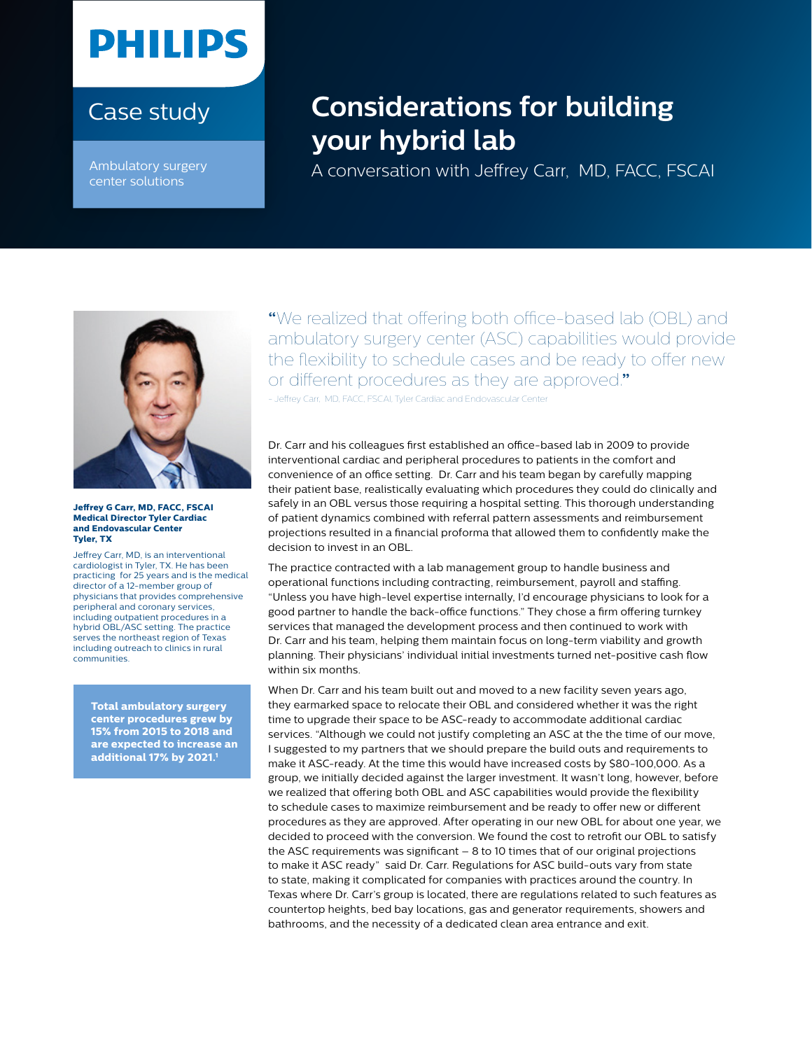## **PHILIPS**

## Case study

Ambulatory surgery center solutions

## **Considerations for building your hybrid lab**

A conversation with Jeffrey Carr, MD, FACC, FSCAI



**Jeffrey G Carr, MD, FACC, FSCAI Medical Director Tyler Cardiac and Endovascular Center Tyler, TX**

Jeffrey Carr, MD, is an interventional cardiologist in Tyler, TX. He has been practicing for 25 years and is the medical director of a 12-member group of physicians that provides comprehensive peripheral and coronary services, including outpatient procedures in a hybrid OBL/ASC setting. The practice serves the northeast region of Texas including outreach to clinics in rural communities.

**Total ambulatory surgery center procedures grew by 15% from 2015 to 2018 and are expected to increase an additional 17% by 2021.1**

**"**We realized that offering both office-based lab (OBL) and ambulatory surgery center (ASC) capabilities would provide the flexibility to schedule cases and be ready to offer new or different procedures as they are approved.**"** - Jeffrey Carr, MD, FACC, FSCAI, Tyler Cardiac and Endovascular Center

Dr. Carr and his colleagues first established an office-based lab in 2009 to provide interventional cardiac and peripheral procedures to patients in the comfort and convenience of an office setting. Dr. Carr and his team began by carefully mapping their patient base, realistically evaluating which procedures they could do clinically and safely in an OBL versus those requiring a hospital setting. This thorough understanding of patient dynamics combined with referral pattern assessments and reimbursement projections resulted in a financial proforma that allowed them to confidently make the decision to invest in an OBL.

The practice contracted with a lab management group to handle business and operational functions including contracting, reimbursement, payroll and staffing. "Unless you have high-level expertise internally, I'd encourage physicians to look for a good partner to handle the back-office functions." They chose a firm offering turnkey services that managed the development process and then continued to work with Dr. Carr and his team, helping them maintain focus on long-term viability and growth planning. Their physicians' individual initial investments turned net-positive cash flow within six months.

When Dr. Carr and his team built out and moved to a new facility seven years ago, they earmarked space to relocate their OBL and considered whether it was the right time to upgrade their space to be ASC-ready to accommodate additional cardiac services. "Although we could not justify completing an ASC at the the time of our move, I suggested to my partners that we should prepare the build outs and requirements to make it ASC-ready. At the time this would have increased costs by \$80-100,000. As a group, we initially decided against the larger investment. It wasn't long, however, before we realized that offering both OBL and ASC capabilities would provide the flexibility to schedule cases to maximize reimbursement and be ready to offer new or different procedures as they are approved. After operating in our new OBL for about one year, we decided to proceed with the conversion. We found the cost to retrofit our OBL to satisfy the ASC requirements was significant – 8 to 10 times that of our original projections to make it ASC ready" said Dr. Carr. Regulations for ASC build-outs vary from state to state, making it complicated for companies with practices around the country. In Texas where Dr. Carr's group is located, there are regulations related to such features as countertop heights, bed bay locations, gas and generator requirements, showers and bathrooms, and the necessity of a dedicated clean area entrance and exit.